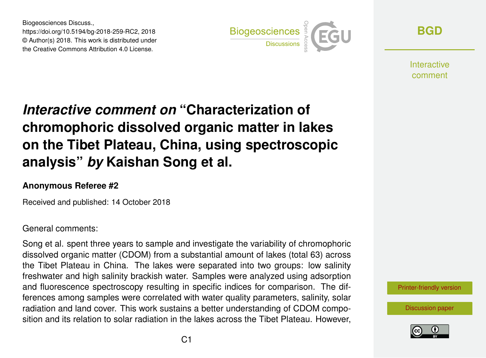Biogeosciences Discuss., https://doi.org/10.5194/bg-2018-259-RC2, 2018 © Author(s) 2018. This work is distributed under the Creative Commons Attribution 4.0 License.



**[BGD](https://www.biogeosciences-discuss.net/)**

**Interactive** comment

# *Interactive comment on* **"Characterization of chromophoric dissolved organic matter in lakes on the Tibet Plateau, China, using spectroscopic analysis"** *by* **Kaishan Song et al.**

#### **Anonymous Referee #2**

Received and published: 14 October 2018

#### General comments:

Song et al. spent three years to sample and investigate the variability of chromophoric dissolved organic matter (CDOM) from a substantial amount of lakes (total 63) across the Tibet Plateau in China. The lakes were separated into two groups: low salinity freshwater and high salinity brackish water. Samples were analyzed using adsorption and fluorescence spectroscopy resulting in specific indices for comparison. The differences among samples were correlated with water quality parameters, salinity, solar radiation and land cover. This work sustains a better understanding of CDOM composition and its relation to solar radiation in the lakes across the Tibet Plateau. However,



[Discussion paper](https://www.biogeosciences-discuss.net/bg-2018-259)

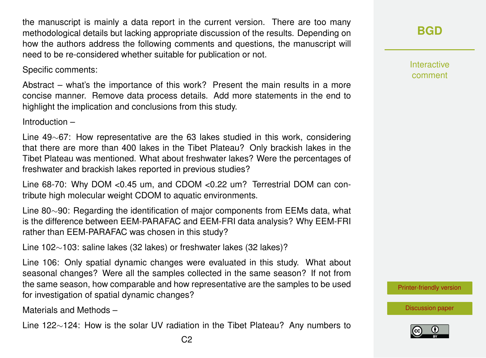the manuscript is mainly a data report in the current version. There are too many methodological details but lacking appropriate discussion of the results. Depending on how the authors address the following comments and questions, the manuscript will need to be re-considered whether suitable for publication or not.

Specific comments:

Abstract – what's the importance of this work? Present the main results in a more concise manner. Remove data process details. Add more statements in the end to highlight the implication and conclusions from this study.

Introduction –

Line 49∼67: How representative are the 63 lakes studied in this work, considering that there are more than 400 lakes in the Tibet Plateau? Only brackish lakes in the Tibet Plateau was mentioned. What about freshwater lakes? Were the percentages of freshwater and brackish lakes reported in previous studies?

Line 68-70: Why DOM <0.45 um, and CDOM <0.22 um? Terrestrial DOM can contribute high molecular weight CDOM to aquatic environments.

Line 80∼90: Regarding the identification of major components from EEMs data, what is the difference between EEM-PARAFAC and EEM-FRI data analysis? Why EEM-FRI rather than EEM-PARAFAC was chosen in this study?

Line 102∼103: saline lakes (32 lakes) or freshwater lakes (32 lakes)?

Line 106: Only spatial dynamic changes were evaluated in this study. What about seasonal changes? Were all the samples collected in the same season? If not from the same season, how comparable and how representative are the samples to be used for investigation of spatial dynamic changes?

Materials and Methods –

Line 122∼124: How is the solar UV radiation in the Tibet Plateau? Any numbers to

Interactive comment

[Printer-friendly version](https://www.biogeosciences-discuss.net/bg-2018-259/bg-2018-259-RC2-print.pdf)

[Discussion paper](https://www.biogeosciences-discuss.net/bg-2018-259)

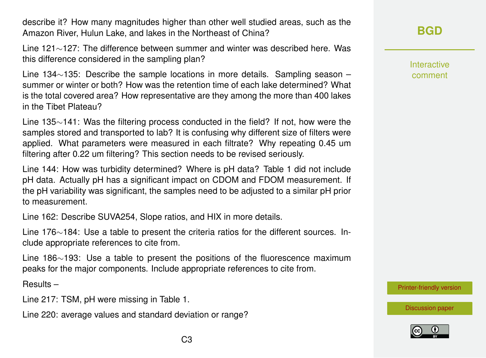describe it? How many magnitudes higher than other well studied areas, such as the Amazon River, Hulun Lake, and lakes in the Northeast of China?

Line 121∼127: The difference between summer and winter was described here. Was this difference considered in the sampling plan?

Line 134∼135: Describe the sample locations in more details. Sampling season – summer or winter or both? How was the retention time of each lake determined? What is the total covered area? How representative are they among the more than 400 lakes in the Tibet Plateau?

Line 135∼141: Was the filtering process conducted in the field? If not, how were the samples stored and transported to lab? It is confusing why different size of filters were applied. What parameters were measured in each filtrate? Why repeating 0.45 um filtering after 0.22 um filtering? This section needs to be revised seriously.

Line 144: How was turbidity determined? Where is pH data? Table 1 did not include pH data. Actually pH has a significant impact on CDOM and FDOM measurement. If the pH variability was significant, the samples need to be adjusted to a similar pH prior to measurement.

Line 162: Describe SUVA254, Slope ratios, and HIX in more details.

Line 176∼184: Use a table to present the criteria ratios for the different sources. Include appropriate references to cite from.

Line 186∼193: Use a table to present the positions of the fluorescence maximum peaks for the major components. Include appropriate references to cite from.

Results –

Line 217: TSM, pH were missing in Table 1.

Line 220: average values and standard deviation or range?

### **[BGD](https://www.biogeosciences-discuss.net/)**

Interactive comment

[Printer-friendly version](https://www.biogeosciences-discuss.net/bg-2018-259/bg-2018-259-RC2-print.pdf)



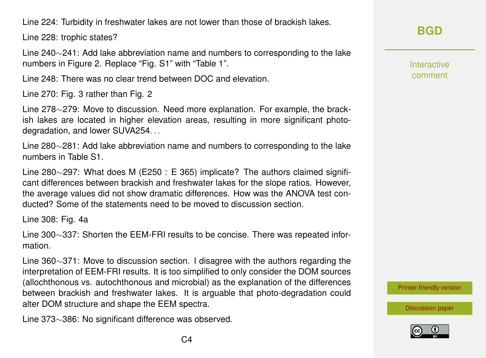Line 224: Turbidity in freshwater lakes are not lower than those of brackish lakes.

Line 228: trophic states?

Line 240∼241: Add lake abbreviation name and numbers to corresponding to the lake numbers in Figure 2. Replace "Fig. S1" with "Table 1".

Line 248: There was no clear trend between DOC and elevation.

Line 270: Fig. 3 rather than Fig. 2

Line 278∼279: Move to discussion. Need more explanation. For example, the brackish lakes are located in higher elevation areas, resulting in more significant photodegradation, and lower SUVA254...

Line 280∼281: Add lake abbreviation name and numbers to corresponding to the lake numbers in Table S1.

Line 280∼297: What does M (E250 : E 365) implicate? The authors claimed significant differences between brackish and freshwater lakes for the slope ratios. However, the average values did not show dramatic differences. How was the ANOVA test conducted? Some of the statements need to be moved to discussion section.

Line 308: Fig. 4a

Line 300∼337: Shorten the EEM-FRI results to be concise. There was repeated information.

Line 360∼371: Move to discussion section. I disagree with the authors regarding the interpretation of EEM-FRI results. It is too simplified to only consider the DOM sources (allochthonous vs. autochthonous and microbial) as the explanation of the differences between brackish and freshwater lakes. It is arguable that photo-degradation could alter DOM structure and shape the EEM spectra.

Line 373∼386: No significant difference was observed.

**[BGD](https://www.biogeosciences-discuss.net/)**

Interactive comment

[Printer-friendly version](https://www.biogeosciences-discuss.net/bg-2018-259/bg-2018-259-RC2-print.pdf)